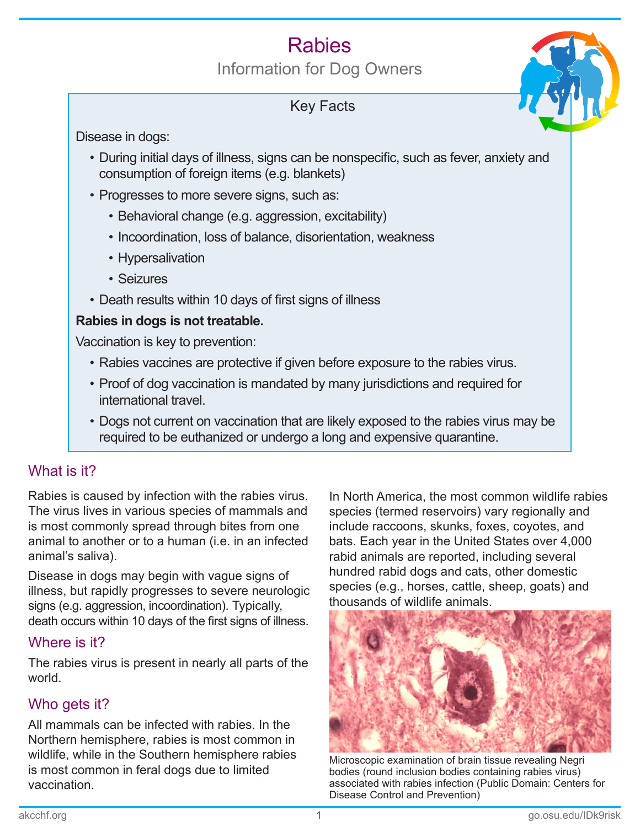# **Rabies**

Information for Dog Owners

# Key Facts



Disease in dogs:

- During initial days of illness, signs can be nonspecific, such as fever, anxiety and consumption of foreign items (e.g. blankets)
- Progresses to more severe signs, such as:
	- Behavioral change (e.g. aggression, excitability)
	- Incoordination, loss of balance, disorientation, weakness
	- Hypersalivation
	- Seizures
- Death results within 10 days of first signs of illness

#### **Rabies in dogs is not treatable.**

Vaccination is key to prevention:

- Rabies vaccines are protective if given before exposure to the rabies virus.
- Proof of dog vaccination is mandated by many jurisdictions and required for international travel.
- Dogs not current on vaccination that are likely exposed to the rabies virus may be required to be euthanized or undergo a long and expensive quarantine.

# What is it?

Rabies is caused by infection with the rabies virus. The virus lives in various species of mammals and is most commonly spread through bites from one animal to another or to a human (i.e. in an infected animal's saliva).

Disease in dogs may begin with vague signs of illness, but rapidly progresses to severe neurologic signs (e.g. aggression, incoordination). Typically, death occurs within 10 days of the first signs of illness.

# Where is it?

The rabies virus is present in nearly all parts of the world.

# Who gets it?

All mammals can be infected with rabies. In the Northern hemisphere, rabies is most common in wildlife, while in the Southern hemisphere rabies is most common in feral dogs due to limited vaccination.

In North America, the most common wildlife rabies species (termed reservoirs) vary regionally and include raccoons, skunks, foxes, coyotes, and bats. Each year in the United States over 4,000 rabid animals are reported, including several hundred rabid dogs and cats, other domestic species (e.g., horses, cattle, sheep, goats) and thousands of wildlife animals.



Microscopic examination of brain tissue revealing Negri bodies (round inclusion bodies containing rabies virus) associated with rabies infection (Public Domain: Centers for Disease Control and Prevention)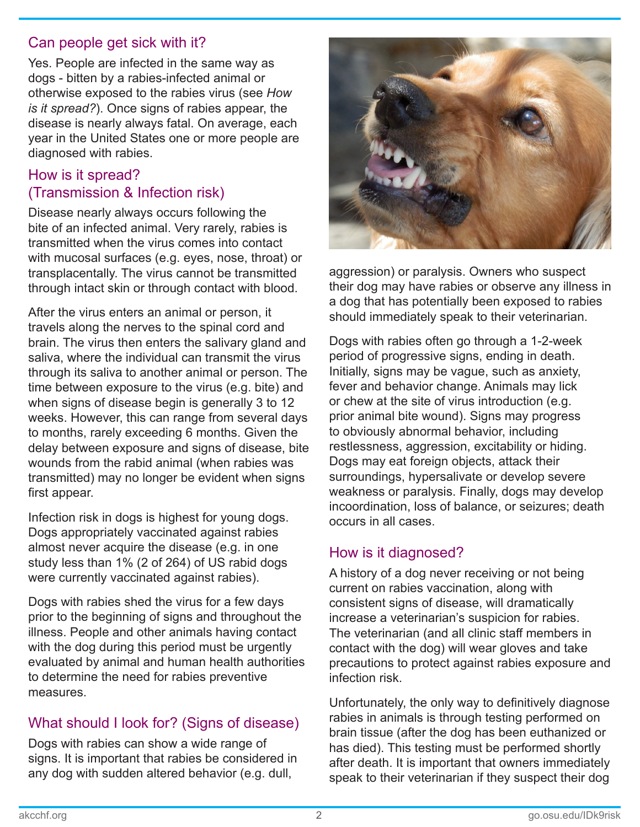#### Can people get sick with it?

Yes. People are infected in the same way as dogs - bitten by a rabies-infected animal or otherwise exposed to the rabies virus (see *How is it spread?*). Once signs of rabies appear, the disease is nearly always fatal. On average, each year in the United States one or more people are diagnosed with rabies.

## How is it spread? (Transmission & Infection risk)

Disease nearly always occurs following the bite of an infected animal. Very rarely, rabies is transmitted when the virus comes into contact with mucosal surfaces (e.g. eyes, nose, throat) or transplacentally. The virus cannot be transmitted through intact skin or through contact with blood.

After the virus enters an animal or person, it travels along the nerves to the spinal cord and brain. The virus then enters the salivary gland and saliva, where the individual can transmit the virus through its saliva to another animal or person. The time between exposure to the virus (e.g. bite) and when signs of disease begin is generally 3 to 12 weeks. However, this can range from several days to months, rarely exceeding 6 months. Given the delay between exposure and signs of disease, bite wounds from the rabid animal (when rabies was transmitted) may no longer be evident when signs first appear.

Infection risk in dogs is highest for young dogs. Dogs appropriately vaccinated against rabies almost never acquire the disease (e.g. in one study less than 1% (2 of 264) of US rabid dogs were currently vaccinated against rabies).

Dogs with rabies shed the virus for a few days prior to the beginning of signs and throughout the illness. People and other animals having contact with the dog during this period must be urgently evaluated by animal and human health authorities to determine the need for rabies preventive measures.

## What should I look for? (Signs of disease)

Dogs with rabies can show a wide range of signs. It is important that rabies be considered in any dog with sudden altered behavior (e.g. dull,



aggression) or paralysis. Owners who suspect their dog may have rabies or observe any illness in a dog that has potentially been exposed to rabies should immediately speak to their veterinarian.

Dogs with rabies often go through a 1-2-week period of progressive signs, ending in death. Initially, signs may be vague, such as anxiety, fever and behavior change. Animals may lick or chew at the site of virus introduction (e.g. prior animal bite wound). Signs may progress to obviously abnormal behavior, including restlessness, aggression, excitability or hiding. Dogs may eat foreign objects, attack their surroundings, hypersalivate or develop severe weakness or paralysis. Finally, dogs may develop incoordination, loss of balance, or seizures; death occurs in all cases.

#### How is it diagnosed?

A history of a dog never receiving or not being current on rabies vaccination, along with consistent signs of disease, will dramatically increase a veterinarian's suspicion for rabies. The veterinarian (and all clinic staff members in contact with the dog) will wear gloves and take precautions to protect against rabies exposure and infection risk.

Unfortunately, the only way to definitively diagnose rabies in animals is through testing performed on brain tissue (after the dog has been euthanized or has died). This testing must be performed shortly after death. It is important that owners immediately speak to their veterinarian if they suspect their dog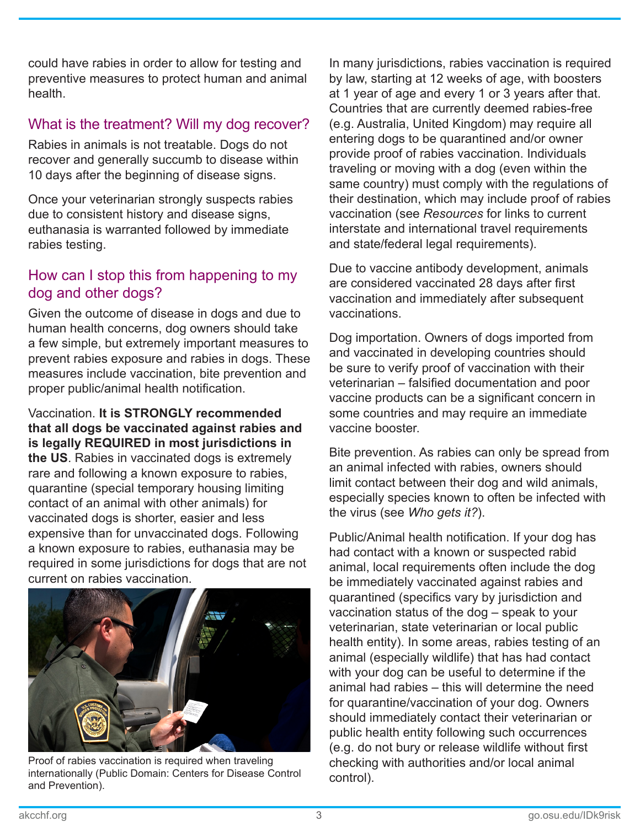could have rabies in order to allow for testing and preventive measures to protect human and animal health.

## What is the treatment? Will my dog recover?

Rabies in animals is not treatable. Dogs do not recover and generally succumb to disease within 10 days after the beginning of disease signs.

Once your veterinarian strongly suspects rabies due to consistent history and disease signs, euthanasia is warranted followed by immediate rabies testing.

#### How can I stop this from happening to my dog and other dogs?

Given the outcome of disease in dogs and due to human health concerns, dog owners should take a few simple, but extremely important measures to prevent rabies exposure and rabies in dogs. These measures include vaccination, bite prevention and proper public/animal health notification.

Vaccination. **It is STRONGLY recommended that all dogs be vaccinated against rabies and is legally REQUIRED in most jurisdictions in the US**. Rabies in vaccinated dogs is extremely rare and following a known exposure to rabies, quarantine (special temporary housing limiting contact of an animal with other animals) for vaccinated dogs is shorter, easier and less expensive than for unvaccinated dogs. Following a known exposure to rabies, euthanasia may be required in some jurisdictions for dogs that are not current on rabies vaccination.



Proof of rabies vaccination is required when traveling internationally (Public Domain: Centers for Disease Control and Prevention).

In many jurisdictions, rabies vaccination is required by law, starting at 12 weeks of age, with boosters at 1 year of age and every 1 or 3 years after that. Countries that are currently deemed rabies-free (e.g. Australia, United Kingdom) may require all entering dogs to be quarantined and/or owner provide proof of rabies vaccination. Individuals traveling or moving with a dog (even within the same country) must comply with the regulations of their destination, which may include proof of rabies vaccination (see *Resources* for links to current interstate and international travel requirements and state/federal legal requirements).

Due to vaccine antibody development, animals are considered vaccinated 28 days after first vaccination and immediately after subsequent vaccinations.

Dog importation. Owners of dogs imported from and vaccinated in developing countries should be sure to verify proof of vaccination with their veterinarian – falsified documentation and poor vaccine products can be a significant concern in some countries and may require an immediate vaccine booster.

Bite prevention. As rabies can only be spread from an animal infected with rabies, owners should limit contact between their dog and wild animals, especially species known to often be infected with the virus (see *Who gets it?*).

Public/Animal health notification. If your dog has had contact with a known or suspected rabid animal, local requirements often include the dog be immediately vaccinated against rabies and quarantined (specifics vary by jurisdiction and vaccination status of the dog – speak to your veterinarian, state veterinarian or local public health entity). In some areas, rabies testing of an animal (especially wildlife) that has had contact with your dog can be useful to determine if the animal had rabies – this will determine the need for quarantine/vaccination of your dog. Owners should immediately contact their veterinarian or public health entity following such occurrences (e.g. do not bury or release wildlife without first checking with authorities and/or local animal control).